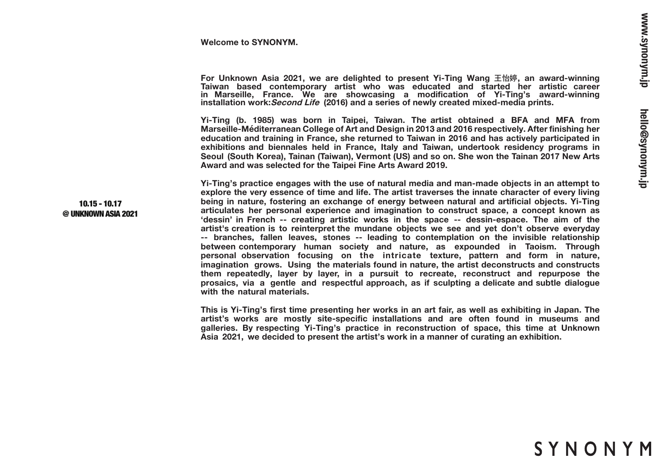#### **Welcome to SYNONYM.**

For Unknown Asia 2021, we are delighted to present Yi-Ting Wang 王怡婷, an award-winning **Taiwan based contemporary artist who was educated and started her artistic career in Marseille, France. We are showcasing a modification of Yi-Ting's award-winning installation work:Second Life (2016) and a series of newly created mixed-media prints.**

**Yi-Ting (b. 1985) was born in Taipei, Taiwan. The artist obtained a BFA and MFA from Marseille-Méditerranean College of Art and Design in 2013 and 2016 respectively. After finishing her education and training in France, she returned to Taiwan in 2016 and has actively participated in exhibitions and biennales held in France, Italy and Taiwan, undertook residency programs in Seoul (South Korea), Tainan (Taiwan), Vermont (US) and so on. She won the Tainan 2017 New Arts Award and was selected for the Taipei Fine Arts Award 2019.**

**Yi-Ting's practice engages with the use of natural media and man-made objects in an attempt to explore the very essence of time and life. The artist traverses the innate character of every living being in nature, fostering an exchange of energy between natural and artificial objects. Yi-Ting articulates her personal experience and imagination to construct space, a concept known as 'dessin' in French -- creating artistic works in the space -- dessin-espace. The aim of the artist's creation is to reinterpret the mundane objects we see and yet don't observe everyday -- branches, fallen leaves, stones -- leading to contemplation on the invisible relationship between contemporary human society and nature, as expounded in Taoism. Through personal observation focusing on the intricate texture, pattern and form in nature, imagination grows. Using the materials found in nature, the artist deconstructs and constructs them repeatedly, layer by layer, in a pursuit to recreate, reconstruct and repurpose the prosaics, via a gentle and respectful approach, as if sculpting a delicate and subtle dialogue with the natural materials.** 

**This is Yi-Ting's first time presenting her works in an art fair, as well as exhibiting in Japan. The artist's works are mostly site-specific installations and are often found in museums and galleries. By respecting Yi-Ting's practice in reconstruction of space, this time at Unknown Asia 2021, we decided to present the artist's work in a manner of curating an exhibition.** 

#### 10.15 - 10.17 @ UNKNOWN ASIA 2021

# SYNONYM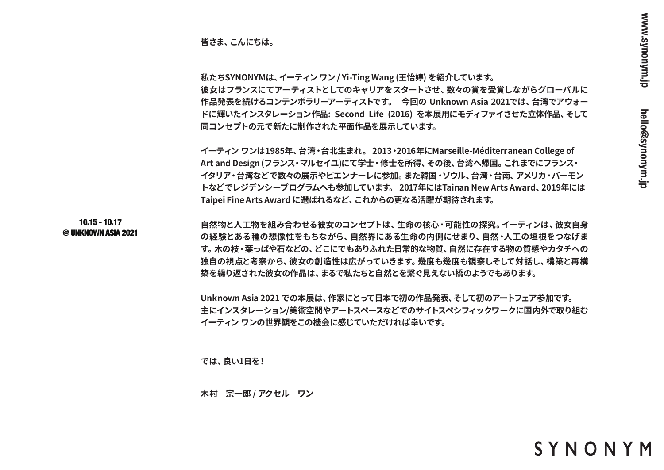**皆さま、こんにちは。**

**私たちSYNONYMは、イーティン ワン / Yi-Ting Wang (王怡婷) を紹介しています。 彼女はフランスにてアーティストとしてのキャリアをスタートさせ、数々の賞を受賞しながらグローバルに 作品発表を続けるコンテンポラリーアーティストです。 今回の Unknown Asia 2021では、台湾でアウォー ドに輝いたインスタレーション作品: Second Life (2016) を本展用にモディファイさせた立体作品、そして 同コンセプトの元で新たに制作された平面作品を展示しています。**

**イーティン ワンは1985年、台湾・台北生まれ。 2013・2016年にMarseille-Méditerranean College of Art and Design (フランス・マルセイユ)にて学士・修士を所得、その後、台湾へ帰国。これまでにフランス・ イタリア・台湾などで数々の展示やビエンナーレに参加。また韓国・ソウル、台湾・台南、アメリカ・バーモン トなどでレジデンシープログラムへも参加しています。 2017年にはTainan New Arts Award、2019年には Taipei Fine Arts Award に選ばれるなど、これからの更なる活躍が期待されます。**

10.15 - 10.17 @ UNKNOWN ASIA 2021

**自然物と人工物を組み合わせる彼女のコンセプトは、生命の核心・可能性の探究。イーティンは、彼女自身 の経験とある種の想像性をもちながら、自然界にある生命の内側にせまり、自然・人工の垣根をつなげま す。木の枝・葉っぱや石などの、どこにでもありふれた日常的な物質、自然に存在する物の質感やカタチへの 独自の視点と考察から、彼女の創造性は広がっていきます。幾度も幾度も観察しそして対話し、構築と再構 築を繰り返された彼女の作品は、まるで私たちと自然とを繋ぐ見えない橋のようでもあります。**

**Unknown Asia 2021 での本展は、作家にとって日本で初の作品発表、そして初のアートフェア参加です。 主にインスタレーション/美術空間やアートスペースなどでのサイトスペシフィックワークに国内外で取り組む イーティン ワンの世界観をこの機会に感じていただければ幸いです。** 

**では、良い1日を!**

**木村 宗一郎 / アクセル ワン**

SYNONYM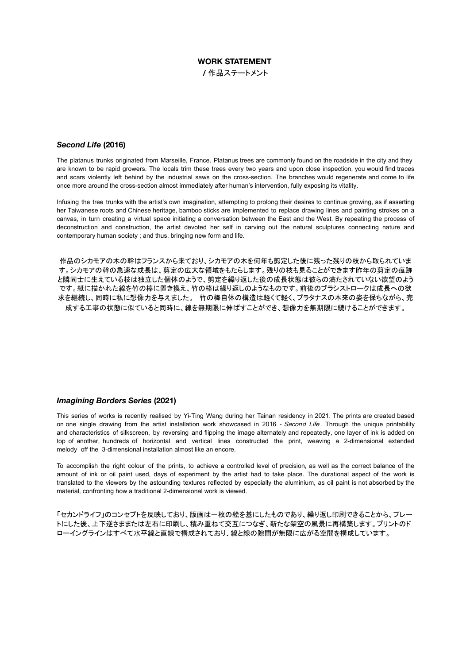## **WORK STATEMENT**

**/** 作品ステートメント

# *Second Life* **(2016)**

The platanus trunks originated from Marseille, France. Platanus trees are commonly found on the roadside in the city and they are known to be rapid growers. The locals trim these trees every two years and upon close inspection, you would find traces and scars violently left behind by the industrial saws on the cross-section. The branches would regenerate and come to life once more around the cross-section almost immediately after human's intervention, fully exposing its vitality.

Infusing the tree trunks with the artist's own imagination, attempting to prolong their desires to continue growing, as if asserting her Taiwanese roots and Chinese heritage, bamboo sticks are implemented to replace drawing lines and painting strokes on a canvas, in turn creating a virtual space initiating a conversation between the East and the West. By repeating the process of deconstruction and construction, the artist devoted her self in carving out the natural sculptures connecting nature and contemporary human society ; and thus, bringing new form and life.

作品のシカモアの木の幹はフランスから来ており、シカモアの木を何年も剪定した後に残った残りの枝から取られていま す。シカモアの幹の急速な成長は、剪定の広大な領域をもたらします。残りの枝も見ることができます昨年の剪定の痕跡 と隣同士に生えている枝は独立した個体のようで、剪定を繰り返した後の成長状態は彼らの満たされていない欲望のよう です。紙に描かれた線を竹の棒に置き換え、竹の棒は繰り返しのようなものです。前後のブラシストロークは成長への欲 求を継続し、同時に私に想像力を与えました。 竹の棒自体の構造は軽くて軽く、プラタナスの本来の姿を保ちながら、完 成する工事の状態に似ていると同時に、線を無期限に伸ばすことができ、想像力を無期限に続けることができます。

### *Imagining Borders Series* **(2021)**

This series of works is recently realised by Yi-Ting Wang during her Tainan residency in 2021. The prints are created based on one single drawing from the artist installation work showcased in 2016 - Second Life. Through the unique printability and characteristics of silkscreen, by reversing and flipping the image alternately and repeatedly, one layer of ink is added on top of another, hundreds of horizontal and vertical lines constructed the print, weaving a 2-dimensional extended melody off the 3-dimensional installation almost like an encore.

To accomplish the right colour of the prints, to achieve a controlled level of precision, as well as the correct balance of the amount of ink or oil paint used, days of experiment by the artist had to take place. The durational aspect of the work is translated to the viewers by the astounding textures reflected by especially the aluminium, as oil paint is not absorbed by the material, confronting how a traditional 2-dimensional work is viewed.

「セカンドライフ」のコンセプトを反映しており、版画は一枚の絵を基にしたものであり、繰り返し印刷できることから、プレー トにした後、上下逆さままたは左右に印刷し、積み重ねて交互につなぎ、新たな架空の風景に再構築します。プリントのド ローイングラインはすべて水平線と直線で構成されており、線と線の隙間が無限に広がる空間を構成しています。